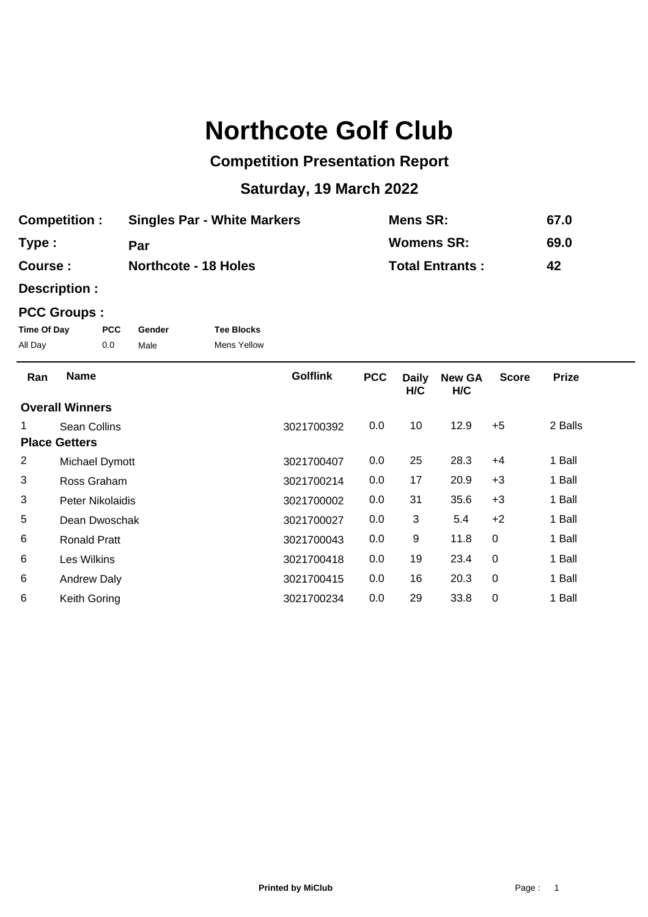## **Northcote Golf Club**

## **Competition Presentation Report**

## **Saturday, 19 March 2022**

| <b>Competition:</b> | <b>Singles Par - White Markers</b> | <b>Mens SR:</b>        | 67.0 |
|---------------------|------------------------------------|------------------------|------|
| Type:               | Par                                | Womens SR:             | 69.0 |
| Course :            | <b>Northcote - 18 Holes</b>        | <b>Total Entrants:</b> | 42   |

**Description :**

## **PCC Groups :**

| Time Of Day | <b>PCC</b> | Gender | <b>Tee Blocks</b>  |
|-------------|------------|--------|--------------------|
| All Day     | 0.0        | Male   | <b>Mens Yellow</b> |

| Ran            | <b>Name</b>            | <b>Golflink</b> | <b>PCC</b> | <b>Daily</b><br>H/C | <b>New GA</b><br>H/C | <b>Score</b> | <b>Prize</b> |
|----------------|------------------------|-----------------|------------|---------------------|----------------------|--------------|--------------|
|                | <b>Overall Winners</b> |                 |            |                     |                      |              |              |
|                | Sean Collins           | 3021700392      | 0.0        | 10                  | 12.9                 | $+5$         | 2 Balls      |
|                | <b>Place Getters</b>   |                 |            |                     |                      |              |              |
| $\overline{2}$ | Michael Dymott         | 3021700407      | 0.0        | 25                  | 28.3                 | $+4$         | 1 Ball       |
| 3              | Ross Graham            | 3021700214      | 0.0        | 17                  | 20.9                 | $+3$         | 1 Ball       |
| 3              | Peter Nikolaidis       | 3021700002      | 0.0        | 31                  | 35.6                 | $+3$         | 1 Ball       |
| 5              | Dean Dwoschak          | 3021700027      | 0.0        | 3                   | 5.4                  | $+2$         | 1 Ball       |
| 6              | <b>Ronald Pratt</b>    | 3021700043      | 0.0        | 9                   | 11.8                 | $\Omega$     | 1 Ball       |
| 6              | Les Wilkins            | 3021700418      | 0.0        | 19                  | 23.4                 | $\Omega$     | 1 Ball       |
| 6              | <b>Andrew Daly</b>     | 3021700415      | 0.0        | 16                  | 20.3                 | $\Omega$     | 1 Ball       |
| 6              | Keith Goring           | 3021700234      | 0.0        | 29                  | 33.8                 | 0            | 1 Ball       |